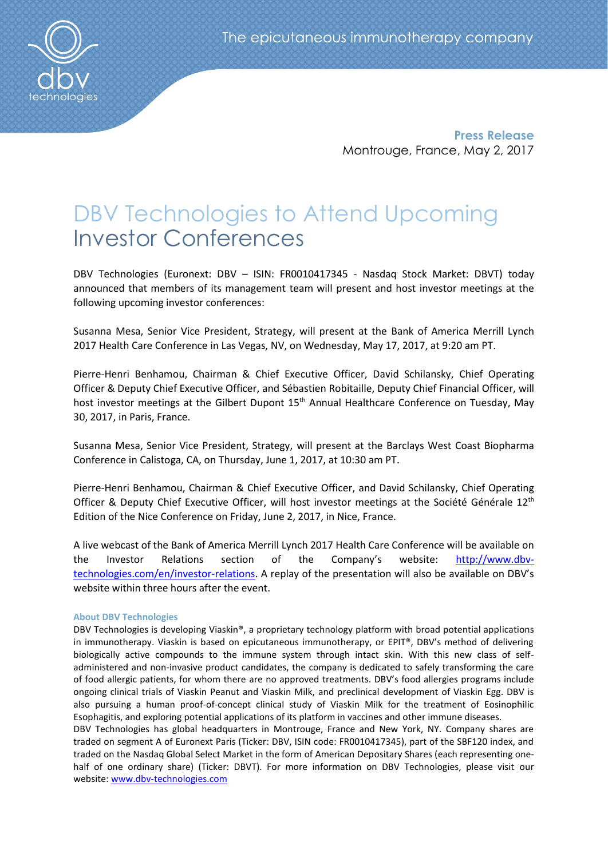**Press Release** Montrouge, France, May 2, 2017

# DBV Technologies to Attend Upcoming Investor Conferences

DBV Technologies (Euronext: DBV – ISIN: FR0010417345 - Nasdaq Stock Market: DBVT) today announced that members of its management team will present and host investor meetings at the following upcoming investor conferences:

Susanna Mesa, Senior Vice President, Strategy, will present at the Bank of America Merrill Lynch 2017 Health Care Conference in Las Vegas, NV, on Wednesday, May 17, 2017, at 9:20 am PT.

Pierre-Henri Benhamou, Chairman & Chief Executive Officer, David Schilansky, Chief Operating Officer & Deputy Chief Executive Officer, and Sébastien Robitaille, Deputy Chief Financial Officer, will host investor meetings at the Gilbert Dupont 15<sup>th</sup> Annual Healthcare Conference on Tuesday, May 30, 2017, in Paris, France.

Susanna Mesa, Senior Vice President, Strategy, will present at the Barclays West Coast Biopharma Conference in Calistoga, CA, on Thursday, June 1, 2017, at 10:30 am PT.

Pierre-Henri Benhamou, Chairman & Chief Executive Officer, and David Schilansky, Chief Operating Officer & Deputy Chief Executive Officer, will host investor meetings at the Société Générale 12<sup>th</sup> Edition of the Nice Conference on Friday, June 2, 2017, in Nice, France.

A live webcast of the Bank of America Merrill Lynch 2017 Health Care Conference will be available on the Investor Relations section of the Company's website: [http://www.dbv](http://www.dbv-technologies.com/en/investor-relations)[technologies.com/en/investor-relations.](http://www.dbv-technologies.com/en/investor-relations) A replay of the presentation will also be available on DBV's website within three hours after the event.

# **About DBV Technologies**

DBV Technologies is developing Viaskin®, a proprietary technology platform with broad potential applications in immunotherapy. Viaskin is based on epicutaneous immunotherapy, or EPIT®, DBV's method of delivering biologically active compounds to the immune system through intact skin. With this new class of selfadministered and non-invasive product candidates, the company is dedicated to safely transforming the care of food allergic patients, for whom there are no approved treatments. DBV's food allergies programs include ongoing clinical trials of Viaskin Peanut and Viaskin Milk, and preclinical development of Viaskin Egg. DBV is also pursuing a human proof-of-concept clinical study of Viaskin Milk for the treatment of Eosinophilic Esophagitis, and exploring potential applications of its platform in vaccines and other immune diseases.

DBV Technologies has global headquarters in Montrouge, France and New York, NY. Company shares are traded on segment A of Euronext Paris (Ticker: DBV, ISIN code: FR0010417345), part of the SBF120 index, and traded on the Nasdaq Global Select Market in the form of American Depositary Shares (each representing onehalf of one ordinary share) (Ticker: DBVT). For more information on DBV Technologies, please visit our website: [www.dbv-technologies.com](http://www.dbv-technologies.com/)